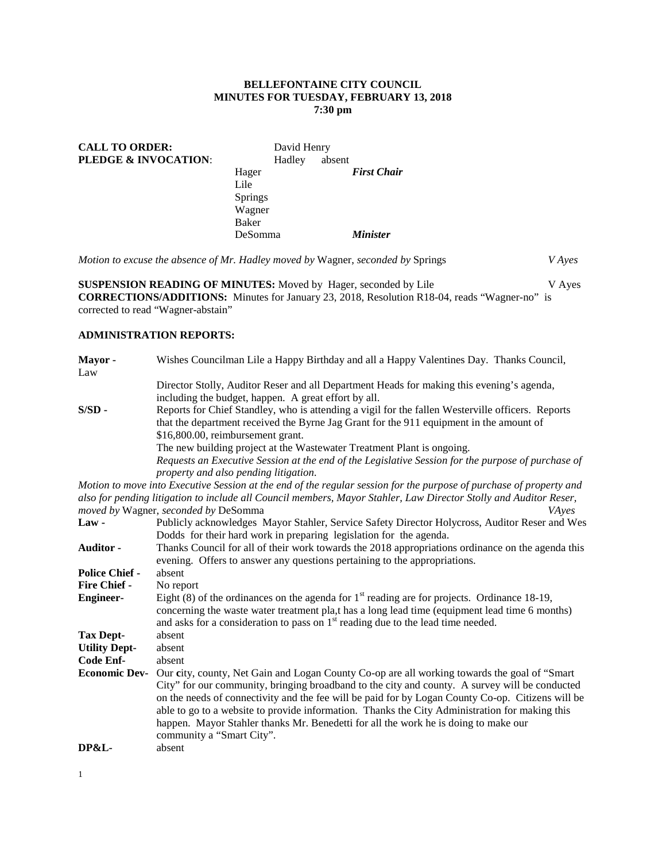### **BELLEFONTAINE CITY COUNCIL MINUTES FOR TUESDAY, FEBRUARY 13, 2018 7:30 pm**

| <b>CALL TO ORDER:</b> |                | David Henry |        |                    |
|-----------------------|----------------|-------------|--------|--------------------|
| PLEDGE & INVOCATION:  |                | Hadley      | absent |                    |
|                       | Hager          |             |        | <b>First Chair</b> |
|                       | Lile           |             |        |                    |
|                       | <b>Springs</b> |             |        |                    |
|                       | Wagner         |             |        |                    |
|                       | Baker          |             |        |                    |
|                       | DeSomma        |             |        | <b>Minister</b>    |

*Motion to excuse the absence of Mr. Hadley moved by* Wagner, *seconded by* Springs *V Ayes*

**SUSPENSION READING OF MINUTES:** Moved by Hager, seconded by Lile V Ayes **CORRECTIONS/ADDITIONS:** Minutes for January 23, 2018, Resolution R18-04, reads "Wagner-no" is corrected to read "Wagner-abstain"

# **ADMINISTRATION REPORTS:**

| Mayor-<br>Law         | Wishes Councilman Lile a Happy Birthday and all a Happy Valentines Day. Thanks Council,                                                                                                                                                                                                                                                                                                                                                                                                                                    |
|-----------------------|----------------------------------------------------------------------------------------------------------------------------------------------------------------------------------------------------------------------------------------------------------------------------------------------------------------------------------------------------------------------------------------------------------------------------------------------------------------------------------------------------------------------------|
|                       | Director Stolly, Auditor Reser and all Department Heads for making this evening's agenda,<br>including the budget, happen. A great effort by all.                                                                                                                                                                                                                                                                                                                                                                          |
| $S/SD -$              | Reports for Chief Standley, who is attending a vigil for the fallen Westerville officers. Reports<br>that the department received the Byrne Jag Grant for the 911 equipment in the amount of<br>\$16,800.00, reimbursement grant.                                                                                                                                                                                                                                                                                          |
|                       | The new building project at the Wastewater Treatment Plant is ongoing.<br>Requests an Executive Session at the end of the Legislative Session for the purpose of purchase of<br>property and also pending litigation.                                                                                                                                                                                                                                                                                                      |
|                       | Motion to move into Executive Session at the end of the regular session for the purpose of purchase of property and                                                                                                                                                                                                                                                                                                                                                                                                        |
|                       | also for pending litigation to include all Council members, Mayor Stahler, Law Director Stolly and Auditor Reser,<br>moved by Wagner, seconded by DeSomma<br>VAyes                                                                                                                                                                                                                                                                                                                                                         |
| Law-                  | Publicly acknowledges Mayor Stahler, Service Safety Director Holycross, Auditor Reser and Wes<br>Dodds for their hard work in preparing legislation for the agenda.                                                                                                                                                                                                                                                                                                                                                        |
| Auditor -             | Thanks Council for all of their work towards the 2018 appropriations ordinance on the agenda this<br>evening. Offers to answer any questions pertaining to the appropriations.                                                                                                                                                                                                                                                                                                                                             |
| <b>Police Chief -</b> | absent                                                                                                                                                                                                                                                                                                                                                                                                                                                                                                                     |
| Fire Chief -          | No report                                                                                                                                                                                                                                                                                                                                                                                                                                                                                                                  |
| <b>Engineer-</b>      | Eight (8) of the ordinances on the agenda for $1st$ reading are for projects. Ordinance 18-19,<br>concerning the waste water treatment pla,t has a long lead time (equipment lead time 6 months)<br>and asks for a consideration to pass on $1st$ reading due to the lead time needed.                                                                                                                                                                                                                                     |
| <b>Tax Dept-</b>      | absent                                                                                                                                                                                                                                                                                                                                                                                                                                                                                                                     |
| <b>Utility Dept-</b>  | absent                                                                                                                                                                                                                                                                                                                                                                                                                                                                                                                     |
| Code Enf-             | absent                                                                                                                                                                                                                                                                                                                                                                                                                                                                                                                     |
| <b>Economic Dev-</b>  | Our city, county, Net Gain and Logan County Co-op are all working towards the goal of "Smart"<br>City" for our community, bringing broadband to the city and county. A survey will be conducted<br>on the needs of connectivity and the fee will be paid for by Logan County Co-op. Citizens will be<br>able to go to a website to provide information. Thanks the City Administration for making this<br>happen. Mayor Stahler thanks Mr. Benedetti for all the work he is doing to make our<br>community a "Smart City". |
| <b>DP&amp;L-</b>      | absent                                                                                                                                                                                                                                                                                                                                                                                                                                                                                                                     |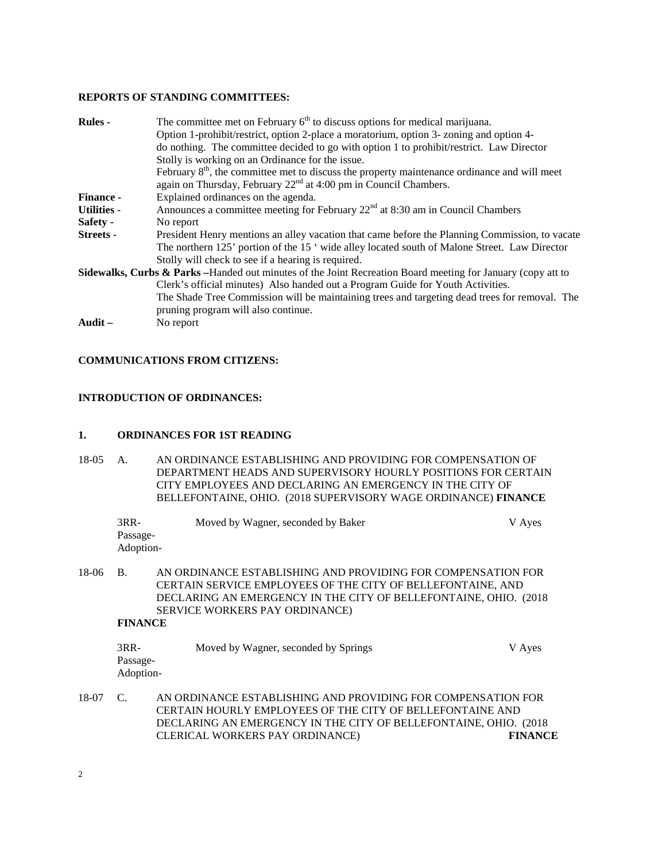#### **REPORTS OF STANDING COMMITTEES:**

| <b>Rules -</b>     | The committee met on February $6th$ to discuss options for medical marijuana.                                                                                                  |
|--------------------|--------------------------------------------------------------------------------------------------------------------------------------------------------------------------------|
|                    | Option 1-prohibit/restrict, option 2-place a moratorium, option 3- zoning and option 4-                                                                                        |
|                    | do nothing. The committee decided to go with option 1 to prohibit/restrict. Law Director                                                                                       |
|                    | Stolly is working on an Ordinance for the issue.                                                                                                                               |
|                    | February $8th$ , the committee met to discuss the property maintenance ordinance and will meet<br>again on Thursday, February 22 <sup>nd</sup> at 4:00 pm in Council Chambers. |
| <b>Finance -</b>   | Explained ordinances on the agenda.                                                                                                                                            |
| <b>Utilities -</b> | Announces a committee meeting for February $22nd$ at 8:30 am in Council Chambers                                                                                               |
| Safety -           | No report                                                                                                                                                                      |
| <b>Streets -</b>   | President Henry mentions an alley vacation that came before the Planning Commission, to vacate                                                                                 |
|                    | The northern 125' portion of the 15' wide alley located south of Malone Street. Law Director<br>Stolly will check to see if a hearing is required.                             |
|                    | Sidewalks, Curbs & Parks - Handed out minutes of the Joint Recreation Board meeting for January (copy att to                                                                   |
|                    | Clerk's official minutes) Also handed out a Program Guide for Youth Activities.                                                                                                |
|                    | The Shade Tree Commission will be maintaining trees and targeting dead trees for removal. The                                                                                  |
|                    | pruning program will also continue.                                                                                                                                            |
| Audit –            | No report                                                                                                                                                                      |

#### **COMMUNICATIONS FROM CITIZENS:**

## **INTRODUCTION OF ORDINANCES:**

## **1. ORDINANCES FOR 1ST READING**

18-05 A. AN ORDINANCE ESTABLISHING AND PROVIDING FOR COMPENSATION OF DEPARTMENT HEADS AND SUPERVISORY HOURLY POSITIONS FOR CERTAIN CITY EMPLOYEES AND DECLARING AN EMERGENCY IN THE CITY OF BELLEFONTAINE, OHIO. (2018 SUPERVISORY WAGE ORDINANCE) **FINANCE**

|       | $3RR-$<br>Passage-<br>Adoption- | Moved by Wagner, seconded by Baker                                                                                                                                                                                                        | V Ayes |
|-------|---------------------------------|-------------------------------------------------------------------------------------------------------------------------------------------------------------------------------------------------------------------------------------------|--------|
| 18-06 | В.<br><b>FINANCE</b>            | AN ORDINANCE ESTABLISHING AND PROVIDING FOR COMPENSATION FOR<br>CERTAIN SERVICE EMPLOYEES OF THE CITY OF BELLEFONTAINE, AND<br>DECLARING AN EMERGENCY IN THE CITY OF BELLEFONTAINE, OHIO. (2018)<br><b>SERVICE WORKERS PAY ORDINANCE)</b> |        |
|       | $3RR-$<br>Passage-<br>Adoption- | Moved by Wagner, seconded by Springs                                                                                                                                                                                                      | V Ayes |
| 18-07 | C.                              | AN ORDINANCE ESTABLISHING AND PROVIDING FOR COMPENSATION FOR<br>CERTAIN HOURLY EMPLOYEES OF THE CITY OF BELLEFONTAINE AND                                                                                                                 |        |

DECLARING AN EMERGENCY IN THE CITY OF BELLEFONTAINE, OHIO. (2018 CLERICAL WORKERS PAY ORDINANCE) FINANCE CLERICAL WORKERS PAY ORDINANCE) **FINANCE**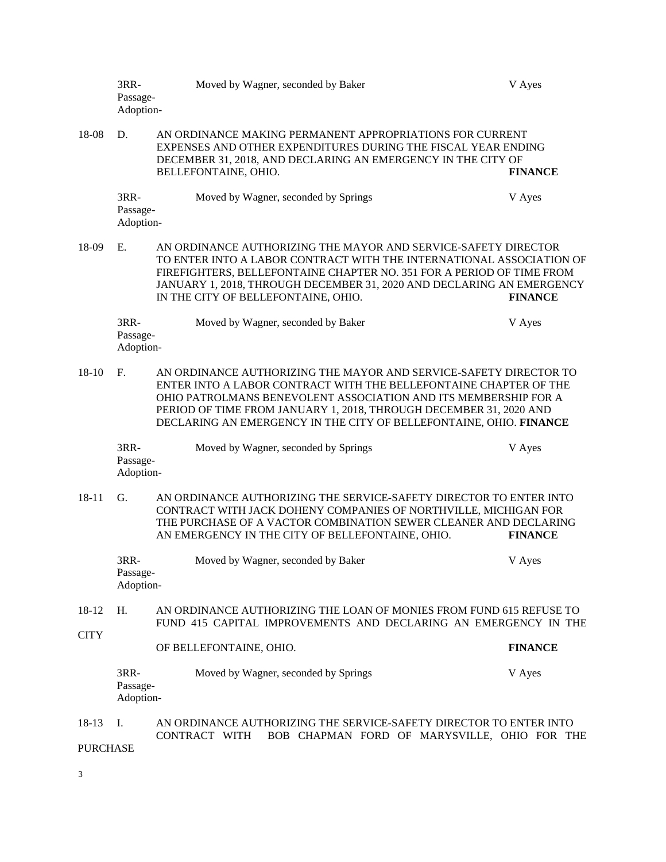|                      | 3RR-<br>Passage-<br>Adoption- | Moved by Wagner, seconded by Baker                                                                                                                                                                                                                                                                                                                    | V Ayes         |  |
|----------------------|-------------------------------|-------------------------------------------------------------------------------------------------------------------------------------------------------------------------------------------------------------------------------------------------------------------------------------------------------------------------------------------------------|----------------|--|
| 18-08                | D.                            | AN ORDINANCE MAKING PERMANENT APPROPRIATIONS FOR CURRENT<br>EXPENSES AND OTHER EXPENDITURES DURING THE FISCAL YEAR ENDING<br>DECEMBER 31, 2018, AND DECLARING AN EMERGENCY IN THE CITY OF<br>BELLEFONTAINE, OHIO.                                                                                                                                     | <b>FINANCE</b> |  |
|                      | 3RR-<br>Passage-<br>Adoption- | Moved by Wagner, seconded by Springs                                                                                                                                                                                                                                                                                                                  | V Ayes         |  |
| 18-09                | E.                            | AN ORDINANCE AUTHORIZING THE MAYOR AND SERVICE-SAFETY DIRECTOR<br>TO ENTER INTO A LABOR CONTRACT WITH THE INTERNATIONAL ASSOCIATION OF<br>FIREFIGHTERS, BELLEFONTAINE CHAPTER NO. 351 FOR A PERIOD OF TIME FROM<br>JANUARY 1, 2018, THROUGH DECEMBER 31, 2020 AND DECLARING AN EMERGENCY<br>IN THE CITY OF BELLEFONTAINE, OHIO.                       | <b>FINANCE</b> |  |
|                      | 3RR-<br>Passage-<br>Adoption- | Moved by Wagner, seconded by Baker                                                                                                                                                                                                                                                                                                                    | V Ayes         |  |
| $18 - 10$            | F <sub>r</sub>                | AN ORDINANCE AUTHORIZING THE MAYOR AND SERVICE-SAFETY DIRECTOR TO<br>ENTER INTO A LABOR CONTRACT WITH THE BELLEFONTAINE CHAPTER OF THE<br>OHIO PATROLMANS BENEVOLENT ASSOCIATION AND ITS MEMBERSHIP FOR A<br>PERIOD OF TIME FROM JANUARY 1, 2018, THROUGH DECEMBER 31, 2020 AND<br>DECLARING AN EMERGENCY IN THE CITY OF BELLEFONTAINE, OHIO. FINANCE |                |  |
|                      | 3RR-<br>Passage-<br>Adoption- | Moved by Wagner, seconded by Springs                                                                                                                                                                                                                                                                                                                  | V Ayes         |  |
| $18 - 11$            | G.                            | AN ORDINANCE AUTHORIZING THE SERVICE-SAFETY DIRECTOR TO ENTER INTO<br>CONTRACT WITH JACK DOHENY COMPANIES OF NORTHVILLE, MICHIGAN FOR<br>THE PURCHASE OF A VACTOR COMBINATION SEWER CLEANER AND DECLARING<br>AN EMERGENCY IN THE CITY OF BELLEFONTAINE, OHIO.                                                                                         | <b>FINANCE</b> |  |
|                      | 3RR-<br>Passage-<br>Adoption- | Moved by Wagner, seconded by Baker                                                                                                                                                                                                                                                                                                                    | V Ayes         |  |
| 18-12<br><b>CITY</b> | H.                            | AN ORDINANCE AUTHORIZING THE LOAN OF MONIES FROM FUND 615 REFUSE TO<br>FUND 415 CAPITAL IMPROVEMENTS AND DECLARING AN EMERGENCY IN THE                                                                                                                                                                                                                |                |  |
|                      |                               | OF BELLEFONTAINE, OHIO.                                                                                                                                                                                                                                                                                                                               | <b>FINANCE</b> |  |
|                      | 3RR-<br>Passage-<br>Adoption- | Moved by Wagner, seconded by Springs                                                                                                                                                                                                                                                                                                                  | V Ayes         |  |
| 18-13                | I.                            | AN ORDINANCE AUTHORIZING THE SERVICE-SAFETY DIRECTOR TO ENTER INTO<br>CONTRACT WITH<br>BOB CHAPMAN FORD OF MARYSVILLE, OHIO FOR THE                                                                                                                                                                                                                   |                |  |
|                      | <b>PURCHASE</b>               |                                                                                                                                                                                                                                                                                                                                                       |                |  |

3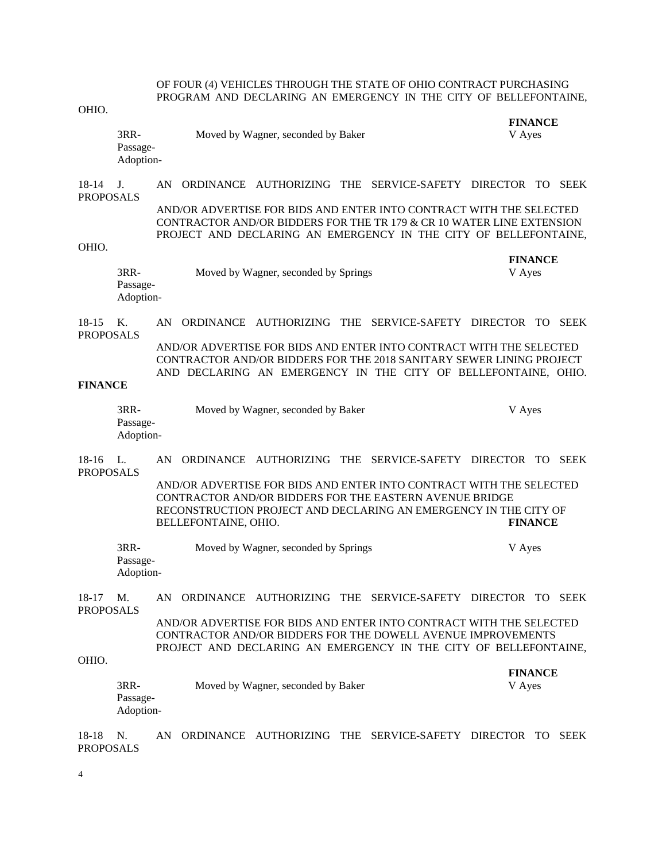## OF FOUR (4) VEHICLES THROUGH THE STATE OF OHIO CONTRACT PURCHASING PROGRAM AND DECLARING AN EMERGENCY IN THE CITY OF BELLEFONTAINE,

## OHIO.

| OHIO.                       |                               |    |                      |                                                                                                                                                                                                                  |  |             |                          |             |
|-----------------------------|-------------------------------|----|----------------------|------------------------------------------------------------------------------------------------------------------------------------------------------------------------------------------------------------------|--|-------------|--------------------------|-------------|
|                             | 3RR-<br>Passage-<br>Adoption- |    |                      | Moved by Wagner, seconded by Baker                                                                                                                                                                               |  |             | <b>FINANCE</b><br>V Ayes |             |
| $18-14$<br><b>PROPOSALS</b> | J.                            | AN |                      | ORDINANCE AUTHORIZING THE SERVICE-SAFETY DIRECTOR TO                                                                                                                                                             |  |             |                          | <b>SEEK</b> |
|                             |                               |    |                      | AND/OR ADVERTISE FOR BIDS AND ENTER INTO CONTRACT WITH THE SELECTED<br>CONTRACTOR AND/OR BIDDERS FOR THE TR 179 & CR 10 WATER LINE EXTENSION<br>PROJECT AND DECLARING AN EMERGENCY IN THE CITY OF BELLEFONTAINE, |  |             |                          |             |
| OHIO.                       | 3RR-<br>Passage-<br>Adoption- |    |                      | Moved by Wagner, seconded by Springs                                                                                                                                                                             |  |             | <b>FINANCE</b><br>V Ayes |             |
| $18-15$                     | Κ.                            | AN |                      | ORDINANCE AUTHORIZING THE SERVICE-SAFETY DIRECTOR TO                                                                                                                                                             |  |             |                          | <b>SEEK</b> |
| <b>PROPOSALS</b>            |                               |    |                      | AND/OR ADVERTISE FOR BIDS AND ENTER INTO CONTRACT WITH THE SELECTED<br>CONTRACTOR AND/OR BIDDERS FOR THE 2018 SANITARY SEWER LINING PROJECT<br>AND DECLARING AN EMERGENCY IN THE CITY OF BELLEFONTAINE, OHIO.    |  |             |                          |             |
| <b>FINANCE</b>              |                               |    |                      |                                                                                                                                                                                                                  |  |             |                          |             |
|                             | 3RR-<br>Passage-<br>Adoption- |    |                      | Moved by Wagner, seconded by Baker                                                                                                                                                                               |  |             | V Ayes                   |             |
| $18-16$<br><b>PROPOSALS</b> | L.                            | AN |                      | ORDINANCE AUTHORIZING THE SERVICE-SAFETY                                                                                                                                                                         |  | DIRECTOR TO |                          | <b>SEEK</b> |
|                             |                               |    | BELLEFONTAINE, OHIO. | AND/OR ADVERTISE FOR BIDS AND ENTER INTO CONTRACT WITH THE SELECTED<br>CONTRACTOR AND/OR BIDDERS FOR THE EASTERN AVENUE BRIDGE<br>RECONSTRUCTION PROJECT AND DECLARING AN EMERGENCY IN THE CITY OF               |  |             | <b>FINANCE</b>           |             |
|                             | 3RR-<br>Passage-<br>Adoption- |    |                      | Moved by Wagner, seconded by Springs                                                                                                                                                                             |  |             | V Ayes                   |             |
| 18-17<br><b>PROPOSALS</b>   | M.                            |    |                      | AN ORDINANCE AUTHORIZING THE SERVICE-SAFETY DIRECTOR TO SEEK                                                                                                                                                     |  |             |                          |             |
| OHIO.                       |                               |    |                      | AND/OR ADVERTISE FOR BIDS AND ENTER INTO CONTRACT WITH THE SELECTED<br>CONTRACTOR AND/OR BIDDERS FOR THE DOWELL AVENUE IMPROVEMENTS<br>PROJECT AND DECLARING AN EMERGENCY IN THE CITY OF BELLEFONTAINE,          |  |             |                          |             |
|                             |                               |    |                      |                                                                                                                                                                                                                  |  |             | <b>FINANCE</b>           |             |

3RR- Moved by Wagner, seconded by Baker V Ayes Passage-

Adoption-

18-18 N. AN ORDINANCE AUTHORIZING THE SERVICE-SAFETY DIRECTOR TO SEEK PROPOSALS

4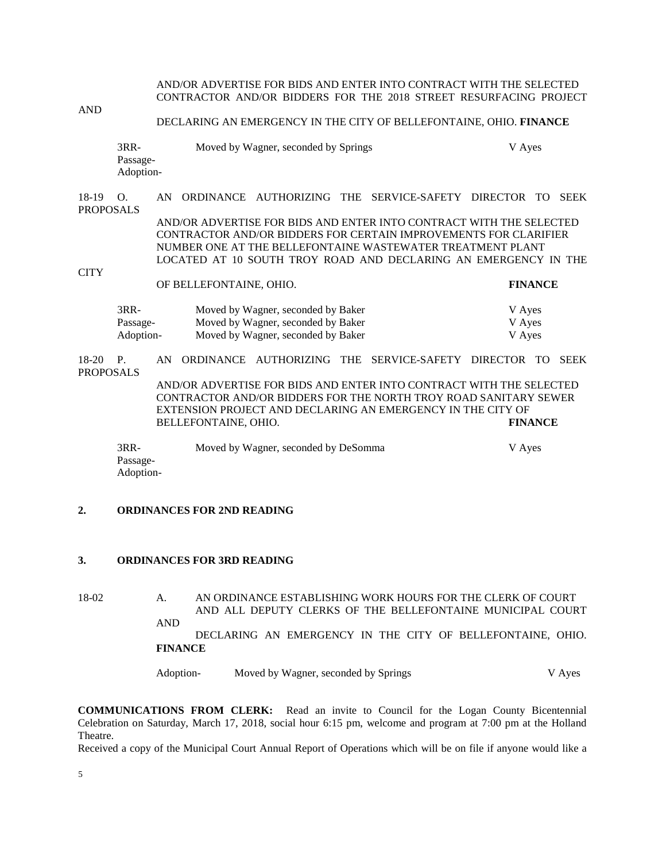AND/OR ADVERTISE FOR BIDS AND ENTER INTO CONTRACT WITH THE SELECTED CONTRACTOR AND/OR BIDDERS FOR THE 2018 STREET RESURFACING PROJECT

AND

#### DECLARING AN EMERGENCY IN THE CITY OF BELLEFONTAINE, OHIO. **FINANCE**

| 3RR-      | Moved by Wagner, seconded by Springs | V Aves |
|-----------|--------------------------------------|--------|
| Passage-  |                                      |        |
| Adoption- |                                      |        |

18-19 O. AN ORDINANCE AUTHORIZING THE SERVICE-SAFETY DIRECTOR TO SEEK PROPOSALS AND/OR ADVERTISE FOR BIDS AND ENTER INTO CONTRACT WITH THE SELECTED CONTRACTOR AND/OR BIDDERS FOR CERTAIN IMPROVEMENTS FOR CLARIFIER NUMBER ONE AT THE BELLEFONTAINE WASTEWATER TREATMENT PLANT LOCATED AT 10 SOUTH TROY ROAD AND DECLARING AN EMERGENCY IN THE **CITY** 

OF BELLEFONTAINE, OHIO. **FINANCE**

| $3RR-$    | Moved by Wagner, seconded by Baker | V Aves |
|-----------|------------------------------------|--------|
| Passage-  | Moved by Wagner, seconded by Baker | V Aves |
| Adoption- | Moved by Wagner, seconded by Baker | V Aves |

18-20 P. AN ORDINANCE AUTHORIZING THE SERVICE-SAFETY DIRECTOR TO SEEK PROPOSALS AND/OR ADVERTISE FOR BIDS AND ENTER INTO CONTRACT WITH THE SELECTED CONTRACTOR AND/OR BIDDERS FOR THE NORTH TROY ROAD SANITARY SEWER EXTENSION PROJECT AND DECLARING AN EMERGENCY IN THE CITY OF BELLEFONTAINE, OHIO. **FINANCE**

3RR- Moved by Wagner, seconded by DeSomma V Ayes Passage-Adoption-

#### **2. ORDINANCES FOR 2ND READING**

#### **3. ORDINANCES FOR 3RD READING**

18-02 A. AN ORDINANCE ESTABLISHING WORK HOURS FOR THE CLERK OF COURT AND ALL DEPUTY CLERKS OF THE BELLEFONTAINE MUNICIPAL COURT AND DECLARING AN EMERGENCY IN THE CITY OF BELLEFONTAINE, OHIO.

**FINANCE**

Adoption- Moved by Wagner, seconded by Springs V Ayes

**COMMUNICATIONS FROM CLERK:** Read an invite to Council for the Logan County Bicentennial Celebration on Saturday, March 17, 2018, social hour 6:15 pm, welcome and program at 7:00 pm at the Holland Theatre.

Received a copy of the Municipal Court Annual Report of Operations which will be on file if anyone would like a